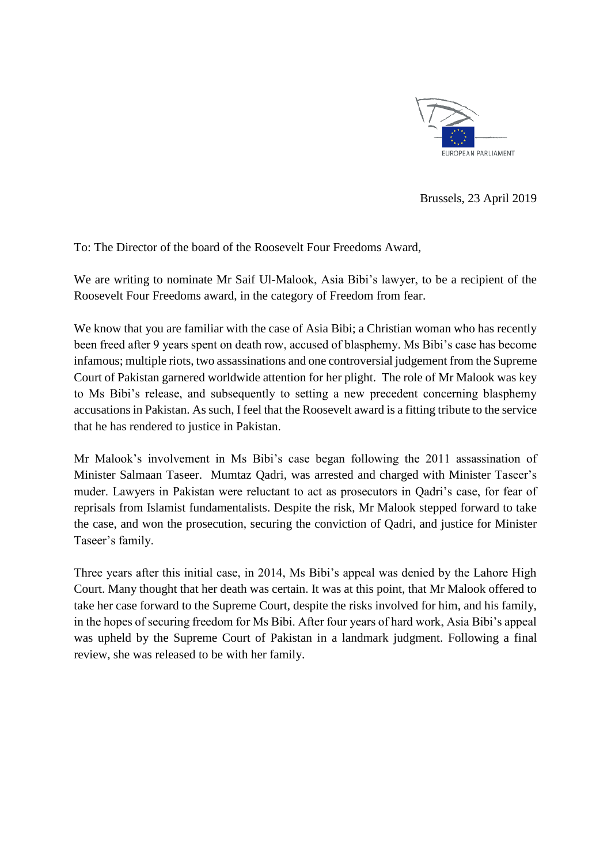

Brussels, 23 April 2019

To: The Director of the board of the Roosevelt Four Freedoms Award,

We are writing to nominate Mr Saif Ul-Malook, Asia Bibi's lawyer, to be a recipient of the Roosevelt Four Freedoms award, in the category of Freedom from fear.

We know that you are familiar with the case of Asia Bibi; a Christian woman who has recently been freed after 9 years spent on death row, accused of blasphemy. Ms Bibi's case has become infamous; multiple riots, two assassinations and one controversial judgement from the Supreme Court of Pakistan garnered worldwide attention for her plight. The role of Mr Malook was key to Ms Bibi's release, and subsequently to setting a new precedent concerning blasphemy accusations in Pakistan. As such, I feel that the Roosevelt award is a fitting tribute to the service that he has rendered to justice in Pakistan.

Mr Malook's involvement in Ms Bibi's case began following the 2011 assassination of Minister Salmaan Taseer. Mumtaz Qadri, was arrested and charged with Minister Taseer's muder. Lawyers in Pakistan were reluctant to act as prosecutors in Qadri's case, for fear of reprisals from Islamist fundamentalists. Despite the risk, Mr Malook stepped forward to take the case, and won the prosecution, securing the conviction of Qadri, and justice for Minister Taseer's family.

Three years after this initial case, in 2014, Ms Bibi's appeal was denied by the Lahore High Court. Many thought that her death was certain. It was at this point, that Mr Malook offered to take her case forward to the Supreme Court, despite the risks involved for him, and his family, in the hopes of securing freedom for Ms Bibi. After four years of hard work, Asia Bibi's appeal was upheld by the Supreme Court of Pakistan in a landmark judgment. Following a final review, she was released to be with her family.